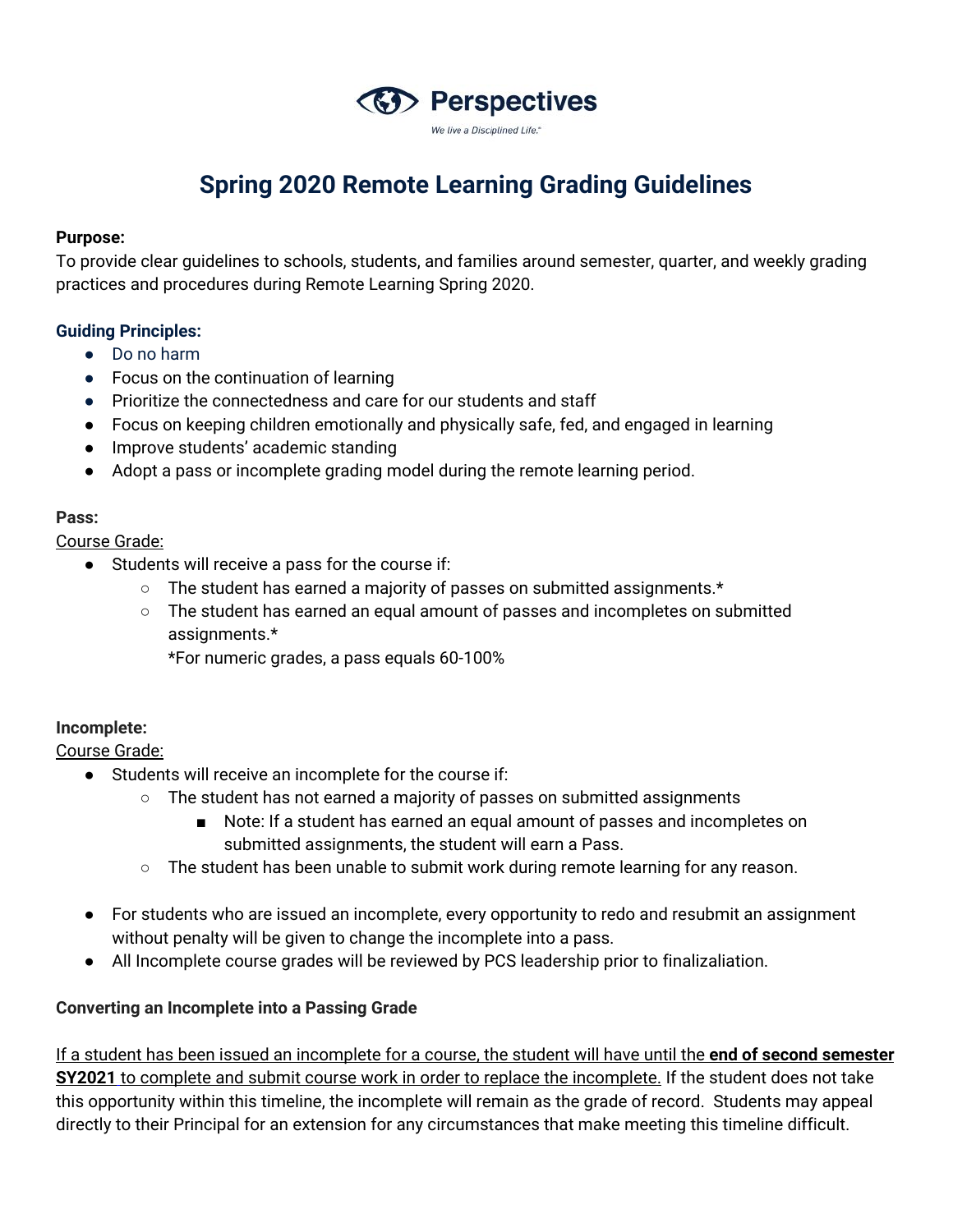

# **Spring 2020 Remote Learning Grading Guidelines**

#### **Purpose:**

To provide clear guidelines to schools, students, and families around semester, quarter, and weekly grading practices and procedures during Remote Learning Spring 2020.

### **Guiding Principles:**

- Do no harm
- Focus on the continuation of learning
- Prioritize the connectedness and care for our students and staff
- Focus on keeping children emotionally and physically safe, fed, and engaged in learning
- Improve students' academic standing
- Adopt a pass or incomplete grading model during the remote learning period.

### **Pass:**

Course Grade:

- Students will receive a pass for the course if:
	- The student has earned a majority of passes on submitted assignments.\*
	- The student has earned an equal amount of passes and incompletes on submitted assignments.\*

\*For numeric grades, a pass equals 60-100%

### **Incomplete:**

Course Grade:

- Students will receive an incomplete for the course if:
	- $\circ$  The student has not earned a majority of passes on submitted assignments
		- Note: If a student has earned an equal amount of passes and incompletes on submitted assignments, the student will earn a Pass.
		- $\circ$  The student has been unable to submit work during remote learning for any reason.
- For students who are issued an incomplete, every opportunity to redo and resubmit an assignment without penalty will be given to change the incomplete into a pass.
- All Incomplete course grades will be reviewed by PCS leadership prior to finalizaliation.

### **Converting an Incomplete into a Passing Grade**

If a student has been issued an incomplete for a course, the student will have until the **end of second semester SY2021** to complete and submit course work in order to replace the incomplete. If the student does not take this opportunity within this timeline, the incomplete will remain as the grade of record. Students may appeal directly to their Principal for an extension for any circumstances that make meeting this timeline difficult.